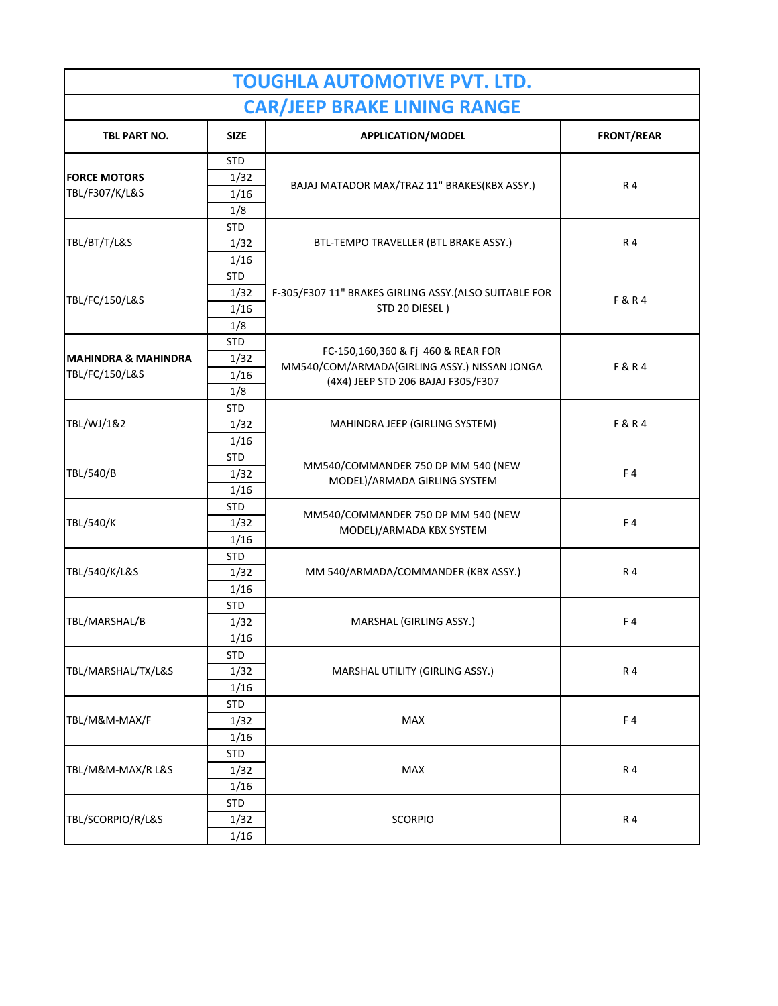| <b>TOUGHLA AUTOMOTIVE PVT. LTD.</b>   |             |                                                                                                                          |                   |  |  |
|---------------------------------------|-------------|--------------------------------------------------------------------------------------------------------------------------|-------------------|--|--|
| <b>CAR/JEEP BRAKE LINING RANGE</b>    |             |                                                                                                                          |                   |  |  |
| TBL PART NO.                          | <b>SIZE</b> | <b>APPLICATION/MODEL</b>                                                                                                 | <b>FRONT/REAR</b> |  |  |
| <b>FORCE MOTORS</b><br>TBL/F307/K/L&S | <b>STD</b>  | BAJAJ MATADOR MAX/TRAZ 11" BRAKES(KBX ASSY.)                                                                             | R 4               |  |  |
|                                       | 1/32        |                                                                                                                          |                   |  |  |
|                                       | 1/16        |                                                                                                                          |                   |  |  |
|                                       | 1/8         |                                                                                                                          |                   |  |  |
| TBL/BT/T/L&S                          | <b>STD</b>  | BTL-TEMPO TRAVELLER (BTL BRAKE ASSY.)                                                                                    | R 4               |  |  |
|                                       | 1/32        |                                                                                                                          |                   |  |  |
|                                       | 1/16        |                                                                                                                          |                   |  |  |
|                                       | <b>STD</b>  | F-305/F307 11" BRAKES GIRLING ASSY.(ALSO SUITABLE FOR<br>STD 20 DIESEL)                                                  | F&R4              |  |  |
| TBL/FC/150/L&S                        | 1/32        |                                                                                                                          |                   |  |  |
|                                       | 1/16        |                                                                                                                          |                   |  |  |
|                                       | 1/8         |                                                                                                                          |                   |  |  |
|                                       | <b>STD</b>  | FC-150,160,360 & Fj 460 & REAR FOR<br>MM540/COM/ARMADA(GIRLING ASSY.) NISSAN JONGA<br>(4X4) JEEP STD 206 BAJAJ F305/F307 | F&R4              |  |  |
| <b>MAHINDRA &amp; MAHINDRA</b>        | 1/32        |                                                                                                                          |                   |  |  |
| TBL/FC/150/L&S                        | 1/16        |                                                                                                                          |                   |  |  |
|                                       | 1/8         |                                                                                                                          |                   |  |  |
|                                       | <b>STD</b>  | MAHINDRA JEEP (GIRLING SYSTEM)                                                                                           | F&R4              |  |  |
| TBL/WJ/1&2                            | 1/32        |                                                                                                                          |                   |  |  |
|                                       | 1/16        |                                                                                                                          |                   |  |  |
| TBL/540/B                             | <b>STD</b>  | MM540/COMMANDER 750 DP MM 540 (NEW<br>MODEL)/ARMADA GIRLING SYSTEM                                                       | F4                |  |  |
|                                       | 1/32        |                                                                                                                          |                   |  |  |
|                                       | 1/16        |                                                                                                                          |                   |  |  |
|                                       | STD         | MM540/COMMANDER 750 DP MM 540 (NEW<br>MODEL)/ARMADA KBX SYSTEM                                                           | F4                |  |  |
| TBL/540/K                             | 1/32        |                                                                                                                          |                   |  |  |
|                                       | 1/16        |                                                                                                                          |                   |  |  |
| TBL/540/K/L&S                         | <b>STD</b>  | MM 540/ARMADA/COMMANDER (KBX ASSY.)                                                                                      | R 4               |  |  |
|                                       | 1/32        |                                                                                                                          |                   |  |  |
|                                       | 1/16        |                                                                                                                          |                   |  |  |
| TBL/MARSHAL/B                         | <b>STD</b>  | MARSHAL (GIRLING ASSY.)                                                                                                  | F4                |  |  |
|                                       | 1/32        |                                                                                                                          |                   |  |  |
|                                       | 1/16        |                                                                                                                          |                   |  |  |
| TBL/MARSHAL/TX/L&S                    | <b>STD</b>  | MARSHAL UTILITY (GIRLING ASSY.)                                                                                          | R 4               |  |  |
|                                       | 1/32        |                                                                                                                          |                   |  |  |
|                                       | 1/16        |                                                                                                                          |                   |  |  |
| TBL/M&M-MAX/F                         | <b>STD</b>  | MAX                                                                                                                      | F4                |  |  |
|                                       | 1/32        |                                                                                                                          |                   |  |  |
|                                       | 1/16        |                                                                                                                          |                   |  |  |
| TBL/M&M-MAX/R L&S                     | <b>STD</b>  | MAX                                                                                                                      | R 4               |  |  |
|                                       | 1/32        |                                                                                                                          |                   |  |  |
|                                       | 1/16        |                                                                                                                          |                   |  |  |
| TBL/SCORPIO/R/L&S                     | <b>STD</b>  | <b>SCORPIO</b>                                                                                                           | R 4               |  |  |
|                                       | 1/32        |                                                                                                                          |                   |  |  |
|                                       | 1/16        |                                                                                                                          |                   |  |  |